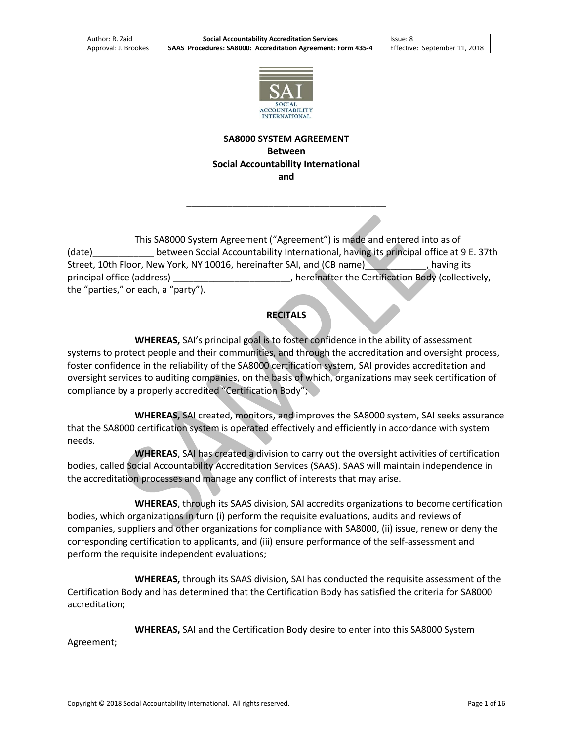

#### **SA8000 SYSTEM AGREEMENT Between Social Accountability International and**

\_\_\_\_\_\_\_\_\_\_\_\_\_\_\_\_\_\_\_\_\_\_\_\_\_\_\_\_\_\_\_\_\_\_\_\_\_\_\_

This SA8000 System Agreement ("Agreement") is made and entered into as of (date)\_\_\_\_\_\_\_\_\_\_\_\_ between Social Accountability International, having its principal office at 9 E. 37th Street, 10th Floor, New York, NY 10016, hereinafter SAI, and (CB name)\_\_\_\_\_\_\_\_\_\_\_\_, having its principal office (address)  $\qquad \qquad \qquad$ , hereinafter the Certification Body (collectively, the "parties," or each, a "party").

## **RECITALS**

**WHEREAS,** SAI's principal goal is to foster confidence in the ability of assessment systems to protect people and their communities, and through the accreditation and oversight process, foster confidence in the reliability of the SA8000 certification system, SAI provides accreditation and oversight services to auditing companies, on the basis of which, organizations may seek certification of compliance by a properly accredited "Certification Body";

**WHEREAS,** SAI created, monitors, and improves the SA8000 system, SAI seeks assurance that the SA8000 certification system is operated effectively and efficiently in accordance with system needs.

**WHEREAS**, SAI has created a division to carry out the oversight activities of certification bodies, called Social Accountability Accreditation Services (SAAS). SAAS will maintain independence in the accreditation processes and manage any conflict of interests that may arise.

**WHEREAS**, through its SAAS division, SAI accredits organizations to become certification bodies, which organizations in turn (i) perform the requisite evaluations, audits and reviews of companies, suppliers and other organizations for compliance with SA8000, (ii) issue, renew or deny the corresponding certification to applicants, and (iii) ensure performance of the self-assessment and perform the requisite independent evaluations;

**WHEREAS,** through its SAAS division**,** SAI has conducted the requisite assessment of the Certification Body and has determined that the Certification Body has satisfied the criteria for SA8000 accreditation;

**WHEREAS,** SAI and the Certification Body desire to enter into this SA8000 System

Agreement;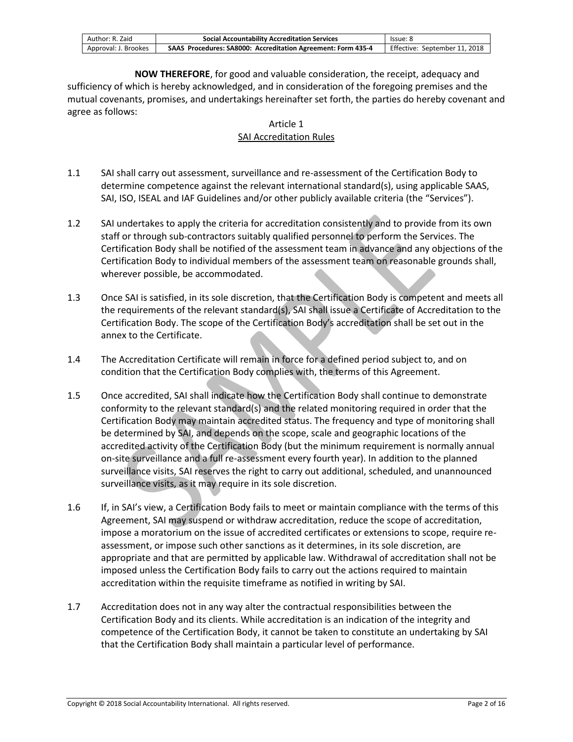| Author: R. Zaid      | <b>Social Accountability Accreditation Services</b>          | lssue: 8                      |
|----------------------|--------------------------------------------------------------|-------------------------------|
| Approval: J. Brookes | SAAS Procedures: SA8000: Accreditation Agreement: Form 435-4 | Effective: September 11, 2018 |

**NOW THEREFORE**, for good and valuable consideration, the receipt, adequacy and sufficiency of which is hereby acknowledged, and in consideration of the foregoing premises and the mutual covenants, promises, and undertakings hereinafter set forth, the parties do hereby covenant and agree as follows:

#### Article 1 SAI Accreditation Rules

- 1.1 SAI shall carry out assessment, surveillance and re-assessment of the Certification Body to determine competence against the relevant international standard(s), using applicable SAAS, SAI, ISO, ISEAL and IAF Guidelines and/or other publicly available criteria (the "Services").
- 1.2 SAI undertakes to apply the criteria for accreditation consistently and to provide from its own staff or through sub-contractors suitably qualified personnel to perform the Services. The Certification Body shall be notified of the assessment team in advance and any objections of the Certification Body to individual members of the assessment team on reasonable grounds shall, wherever possible, be accommodated.
- 1.3 Once SAI is satisfied, in its sole discretion, that the Certification Body is competent and meets all the requirements of the relevant standard(s), SAI shall issue a Certificate of Accreditation to the Certification Body. The scope of the Certification Body's accreditation shall be set out in the annex to the Certificate.
- 1.4 The Accreditation Certificate will remain in force for a defined period subject to, and on condition that the Certification Body complies with, the terms of this Agreement.
- 1.5 Once accredited, SAI shall indicate how the Certification Body shall continue to demonstrate conformity to the relevant standard(s) and the related monitoring required in order that the Certification Body may maintain accredited status. The frequency and type of monitoring shall be determined by SAI, and depends on the scope, scale and geographic locations of the accredited activity of the Certification Body (but the minimum requirement is normally annual on-site surveillance and a full re-assessment every fourth year). In addition to the planned surveillance visits, SAI reserves the right to carry out additional, scheduled, and unannounced surveillance visits, as it may require in its sole discretion.
- 1.6 If, in SAI's view, a Certification Body fails to meet or maintain compliance with the terms of this Agreement, SAI may suspend or withdraw accreditation, reduce the scope of accreditation, impose a moratorium on the issue of accredited certificates or extensions to scope, require reassessment, or impose such other sanctions as it determines, in its sole discretion, are appropriate and that are permitted by applicable law. Withdrawal of accreditation shall not be imposed unless the Certification Body fails to carry out the actions required to maintain accreditation within the requisite timeframe as notified in writing by SAI.
- 1.7 Accreditation does not in any way alter the contractual responsibilities between the Certification Body and its clients. While accreditation is an indication of the integrity and competence of the Certification Body, it cannot be taken to constitute an undertaking by SAI that the Certification Body shall maintain a particular level of performance.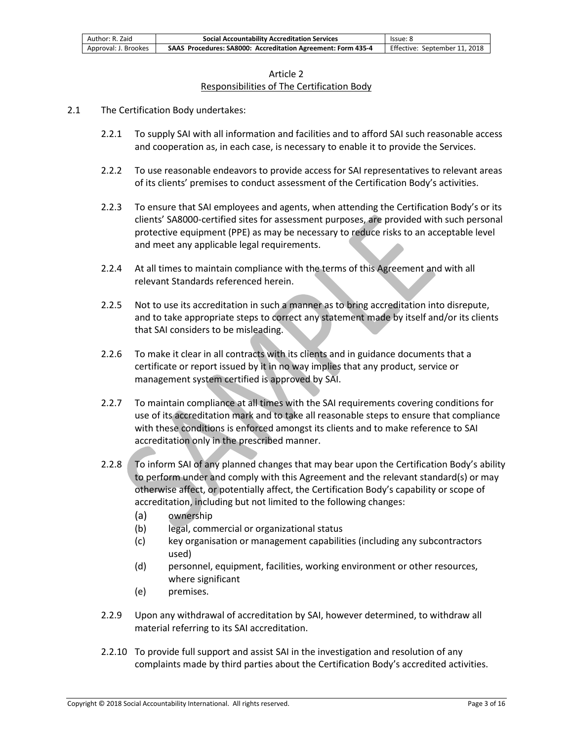| Author: R. Zaid      | <b>Social Accountability Accreditation Services</b>          | lssue: 8                      |
|----------------------|--------------------------------------------------------------|-------------------------------|
| Approval: J. Brookes | SAAS Procedures: SA8000: Accreditation Agreement: Form 435-4 | Effective: September 11, 2018 |

#### Article 2 Responsibilities of The Certification Body

- 2.1 The Certification Body undertakes:
	- 2.2.1 To supply SAI with all information and facilities and to afford SAI such reasonable access and cooperation as, in each case, is necessary to enable it to provide the Services.
	- 2.2.2 To use reasonable endeavors to provide access for SAI representatives to relevant areas of its clients' premises to conduct assessment of the Certification Body's activities.
	- 2.2.3 To ensure that SAI employees and agents, when attending the Certification Body's or its clients' SA8000-certified sites for assessment purposes, are provided with such personal protective equipment (PPE) as may be necessary to reduce risks to an acceptable level and meet any applicable legal requirements.
	- 2.2.4 At all times to maintain compliance with the terms of this Agreement and with all relevant Standards referenced herein.
	- 2.2.5 Not to use its accreditation in such a manner as to bring accreditation into disrepute, and to take appropriate steps to correct any statement made by itself and/or its clients that SAI considers to be misleading.
	- 2.2.6 To make it clear in all contracts with its clients and in guidance documents that a certificate or report issued by it in no way implies that any product, service or management system certified is approved by SAI.
	- 2.2.7 To maintain compliance at all times with the SAI requirements covering conditions for use of its accreditation mark and to take all reasonable steps to ensure that compliance with these conditions is enforced amongst its clients and to make reference to SAI accreditation only in the prescribed manner.
	- 2.2.8 To inform SAI of any planned changes that may bear upon the Certification Body's ability to perform under and comply with this Agreement and the relevant standard(s) or may otherwise affect, or potentially affect, the Certification Body's capability or scope of accreditation, including but not limited to the following changes:
		- (a) ownership
		- (b) legal, commercial or organizational status
		- (c) key organisation or management capabilities (including any subcontractors used)
		- (d) personnel, equipment, facilities, working environment or other resources, where significant
		- (e) premises.
	- 2.2.9 Upon any withdrawal of accreditation by SAI, however determined, to withdraw all material referring to its SAI accreditation.
	- 2.2.10 To provide full support and assist SAI in the investigation and resolution of any complaints made by third parties about the Certification Body's accredited activities.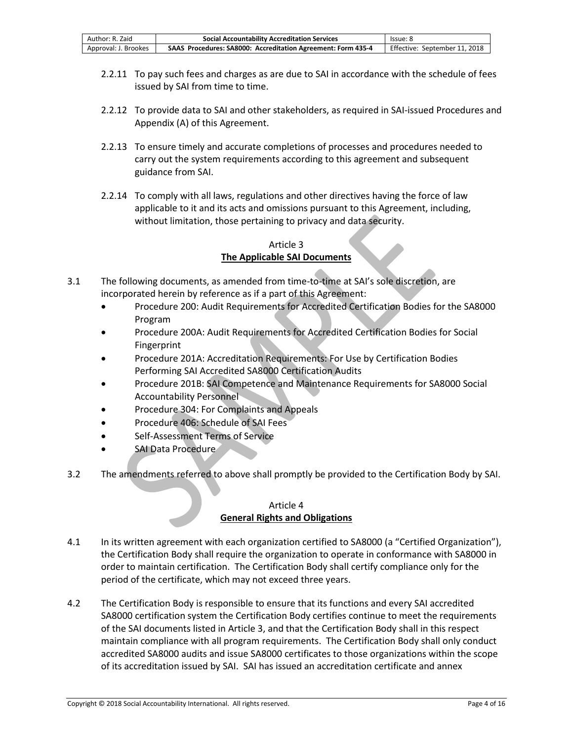| Author: R. Zaid      | <b>Social Accountability Accreditation Services</b>          | lssue: 8                      |
|----------------------|--------------------------------------------------------------|-------------------------------|
| Approval: J. Brookes | SAAS Procedures: SA8000: Accreditation Agreement: Form 435-4 | Effective: September 11, 2018 |

- 2.2.11 To pay such fees and charges as are due to SAI in accordance with the schedule of fees issued by SAI from time to time.
- 2.2.12 To provide data to SAI and other stakeholders, as required in SAI-issued Procedures and Appendix (A) of this Agreement.
- 2.2.13 To ensure timely and accurate completions of processes and procedures needed to carry out the system requirements according to this agreement and subsequent guidance from SAI.
- 2.2.14 To comply with all laws, regulations and other directives having the force of law applicable to it and its acts and omissions pursuant to this Agreement, including, without limitation, those pertaining to privacy and data security.

### Article 3 **The Applicable SAI Documents**

- 3.1 The following documents, as amended from time-to-time at SAI's sole discretion, are incorporated herein by reference as if a part of this Agreement:
	- Procedure 200: Audit Requirements for Accredited Certification Bodies for the SA8000 Program
	- Procedure 200A: Audit Requirements for Accredited Certification Bodies for Social Fingerprint
	- Procedure 201A: Accreditation Requirements: For Use by Certification Bodies Performing SAI Accredited SA8000 Certification Audits
	- Procedure 201B: SAI Competence and Maintenance Requirements for SA8000 Social Accountability Personnel
	- Procedure 304: For Complaints and Appeals
	- Procedure 406: Schedule of SAI Fees
	- Self-Assessment Terms of Service
	- SAI Data Procedure
- 3.2 The amendments referred to above shall promptly be provided to the Certification Body by SAI.

### Article 4 **General Rights and Obligations**

- 4.1 In its written agreement with each organization certified to SA8000 (a "Certified Organization"), the Certification Body shall require the organization to operate in conformance with SA8000 in order to maintain certification. The Certification Body shall certify compliance only for the period of the certificate, which may not exceed three years.
- 4.2 The Certification Body is responsible to ensure that its functions and every SAI accredited SA8000 certification system the Certification Body certifies continue to meet the requirements of the SAI documents listed in Article 3, and that the Certification Body shall in this respect maintain compliance with all program requirements. The Certification Body shall only conduct accredited SA8000 audits and issue SA8000 certificates to those organizations within the scope of its accreditation issued by SAI. SAI has issued an accreditation certificate and annex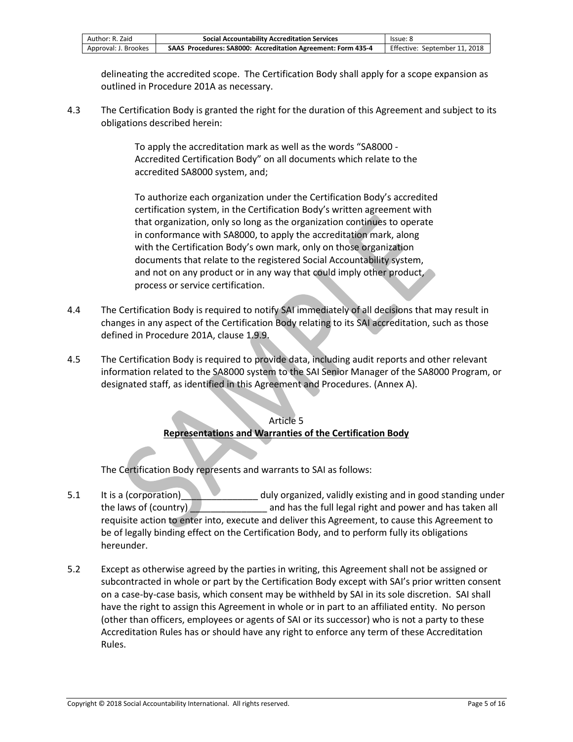| Author: R. Zaid      | <b>Social Accountability Accreditation Services</b>          | lssue: 8                      |
|----------------------|--------------------------------------------------------------|-------------------------------|
| Approval: J. Brookes | SAAS Procedures: SA8000: Accreditation Agreement: Form 435-4 | Effective: September 11, 2018 |

delineating the accredited scope. The Certification Body shall apply for a scope expansion as outlined in Procedure 201A as necessary.

4.3 The Certification Body is granted the right for the duration of this Agreement and subject to its obligations described herein:

> To apply the accreditation mark as well as the words "SA8000 - Accredited Certification Body" on all documents which relate to the accredited SA8000 system, and;

To authorize each organization under the Certification Body's accredited certification system, in the Certification Body's written agreement with that organization, only so long as the organization continues to operate in conformance with SA8000, to apply the accreditation mark, along with the Certification Body's own mark, only on those organization documents that relate to the registered Social Accountability system, and not on any product or in any way that could imply other product, process or service certification.

- 4.4 The Certification Body is required to notify SAI immediately of all decisions that may result in changes in any aspect of the Certification Body relating to its SAI accreditation, such as those defined in Procedure 201A, clause 1.9.9.
- 4.5 The Certification Body is required to provide data, including audit reports and other relevant information related to the SA8000 system to the SAI Senior Manager of the SA8000 Program, or designated staff, as identified in this Agreement and Procedures. (Annex A).

### Article 5 **Representations and Warranties of the Certification Body**

The Certification Body represents and warrants to SAI as follows:

- 5.1 It is a (corporation) and  $\blacksquare$  duly organized, validly existing and in good standing under the laws of (country) **the laws of (country)** and has the full legal right and power and has taken all requisite action to enter into, execute and deliver this Agreement, to cause this Agreement to be of legally binding effect on the Certification Body, and to perform fully its obligations hereunder.
- 5.2 Except as otherwise agreed by the parties in writing, this Agreement shall not be assigned or subcontracted in whole or part by the Certification Body except with SAI's prior written consent on a case-by-case basis, which consent may be withheld by SAI in its sole discretion. SAI shall have the right to assign this Agreement in whole or in part to an affiliated entity. No person (other than officers, employees or agents of SAI or its successor) who is not a party to these Accreditation Rules has or should have any right to enforce any term of these Accreditation Rules.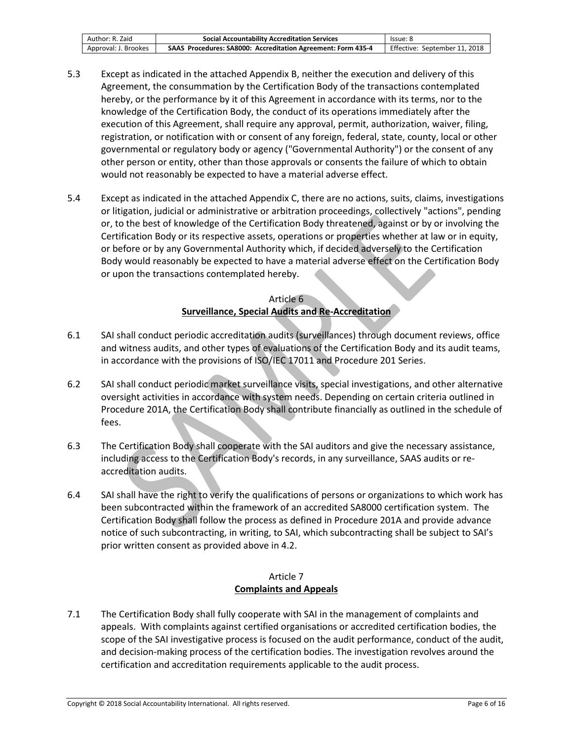| Author: R. Zaid      | <b>Social Accountability Accreditation Services</b>          | lssue: 8                      |
|----------------------|--------------------------------------------------------------|-------------------------------|
| Approval: J. Brookes | SAAS Procedures: SA8000: Accreditation Agreement: Form 435-4 | Effective: September 11, 2018 |

- 5.3 Except as indicated in the attached Appendix B, neither the execution and delivery of this Agreement, the consummation by the Certification Body of the transactions contemplated hereby, or the performance by it of this Agreement in accordance with its terms, nor to the knowledge of the Certification Body, the conduct of its operations immediately after the execution of this Agreement, shall require any approval, permit, authorization, waiver, filing, registration, or notification with or consent of any foreign, federal, state, county, local or other governmental or regulatory body or agency ("Governmental Authority") or the consent of any other person or entity, other than those approvals or consents the failure of which to obtain would not reasonably be expected to have a material adverse effect.
- 5.4 Except as indicated in the attached Appendix C, there are no actions, suits, claims, investigations or litigation, judicial or administrative or arbitration proceedings, collectively "actions", pending or, to the best of knowledge of the Certification Body threatened, against or by or involving the Certification Body or its respective assets, operations or properties whether at law or in equity, or before or by any Governmental Authority which, if decided adversely to the Certification Body would reasonably be expected to have a material adverse effect on the Certification Body or upon the transactions contemplated hereby.

### Article 6 **Surveillance, Special Audits and Re-Accreditation**

- 6.1 SAI shall conduct periodic accreditation audits (surveillances) through document reviews, office and witness audits, and other types of evaluations of the Certification Body and its audit teams, in accordance with the provisions of ISO/IEC 17011 and Procedure 201 Series.
- 6.2 SAI shall conduct periodic market surveillance visits, special investigations, and other alternative oversight activities in accordance with system needs. Depending on certain criteria outlined in Procedure 201A, the Certification Body shall contribute financially as outlined in the schedule of fees.
- 6.3 The Certification Body shall cooperate with the SAI auditors and give the necessary assistance, including access to the Certification Body's records, in any surveillance, SAAS audits or reaccreditation audits.
- 6.4 SAI shall have the right to verify the qualifications of persons or organizations to which work has been subcontracted within the framework of an accredited SA8000 certification system. The Certification Body shall follow the process as defined in Procedure 201A and provide advance notice of such subcontracting, in writing, to SAI, which subcontracting shall be subject to SAI's prior written consent as provided above in 4.2.

### Article 7 **Complaints and Appeals**

7.1 The Certification Body shall fully cooperate with SAI in the management of complaints and appeals. With complaints against certified organisations or accredited certification bodies, the scope of the SAI investigative process is focused on the audit performance, conduct of the audit, and decision-making process of the certification bodies. The investigation revolves around the certification and accreditation requirements applicable to the audit process.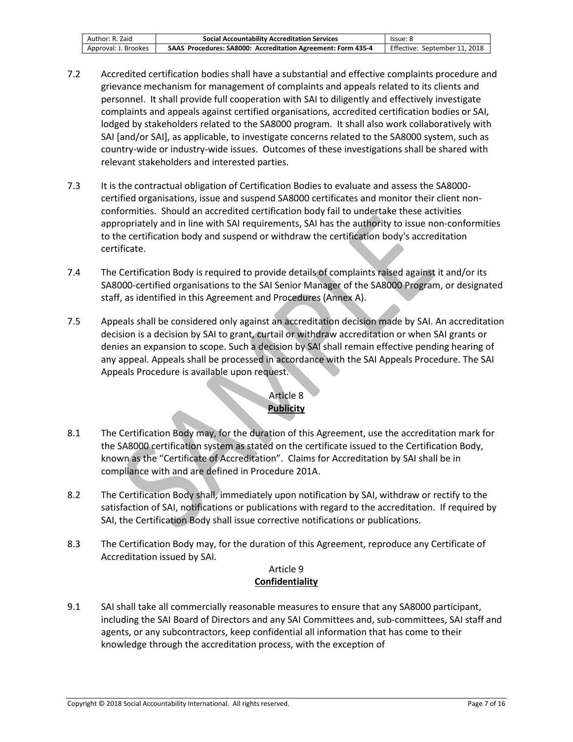| Author: R. Zaid      | <b>Social Accountability Accreditation Services</b>          | lssue: 8                      |
|----------------------|--------------------------------------------------------------|-------------------------------|
| Approval: J. Brookes | SAAS Procedures: SA8000: Accreditation Agreement: Form 435-4 | Effective: September 11, 2018 |

- 7.2 Accredited certification bodies shall have a substantial and effective complaints procedure and grievance mechanism for management of complaints and appeals related to its clients and personnel. It shall provide full cooperation with SAI to diligently and effectively investigate complaints and appeals against certified organisations, accredited certification bodies or SAI, lodged by stakeholders related to the SA8000 program. It shall also work collaboratively with SAI [and/or SAI], as applicable, to investigate concerns related to the SA8000 system, such as country-wide or industry-wide issues. Outcomes of these investigations shall be shared with relevant stakeholders and interested parties.
- 7.3 It is the contractual obligation of Certification Bodies to evaluate and assess the SA8000 certified organisations, issue and suspend SA8000 certificates and monitor their client nonconformities. Should an accredited certification body fail to undertake these activities appropriately and in line with SAI requirements, SAI has the authority to issue non-conformities to the certification body and suspend or withdraw the certification body's accreditation certificate.
- 7.4 The Certification Body is required to provide details of complaints raised against it and/or its SA8000-certified organisations to the SAI Senior Manager of the SA8000 Program, or designated staff, as identified in this Agreement and Procedures (Annex A).
- 7.5 Appeals shall be considered only against an accreditation decision made by SAI. An accreditation decision is a decision by SAI to grant, curtail or withdraw accreditation or when SAI grants or denies an expansion to scope. Such a decision by SAI shall remain effective pending hearing of any appeal. Appeals shall be processed in accordance with the SAI Appeals Procedure. The SAI Appeals Procedure is available upon request.

## Article 8 **Publicity**

- 8.1 The Certification Body may, for the duration of this Agreement, use the accreditation mark for the SA8000 certification system as stated on the certificate issued to the Certification Body, known as the "Certificate of Accreditation". Claims for Accreditation by SAI shall be in compliance with and are defined in Procedure 201A.
- 8.2 The Certification Body shall, immediately upon notification by SAI, withdraw or rectify to the satisfaction of SAI, notifications or publications with regard to the accreditation. If required by SAI, the Certification Body shall issue corrective notifications or publications.
- 8.3 The Certification Body may, for the duration of this Agreement, reproduce any Certificate of Accreditation issued by SAI.

#### Article 9 **Confidentiality**

9.1 SAI shall take all commercially reasonable measures to ensure that any SA8000 participant, including the SAI Board of Directors and any SAI Committees and, sub-committees, SAI staff and agents, or any subcontractors, keep confidential all information that has come to their knowledge through the accreditation process, with the exception of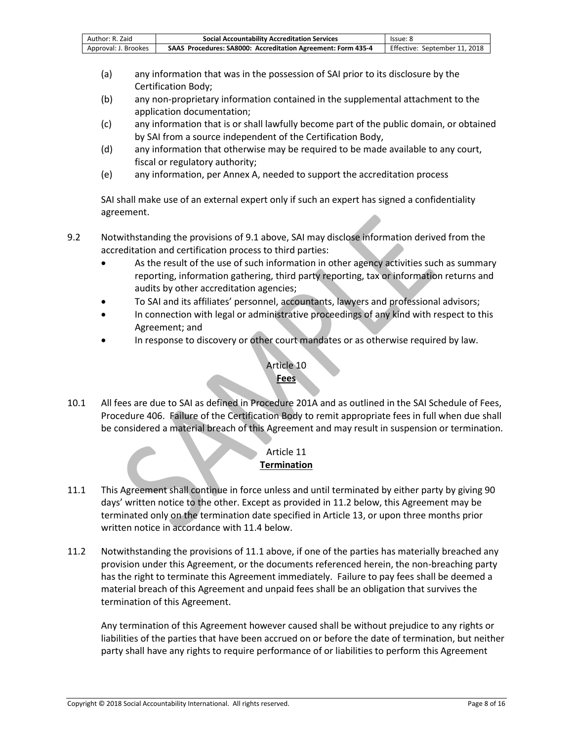| Author: R. Zaid      | <b>Social Accountability Accreditation Services</b>          | lssue: 8                      |
|----------------------|--------------------------------------------------------------|-------------------------------|
| Approval: J. Brookes | SAAS Procedures: SA8000: Accreditation Agreement: Form 435-4 | Effective: September 11, 2018 |

- (a) any information that was in the possession of SAI prior to its disclosure by the Certification Body;
- (b) any non-proprietary information contained in the supplemental attachment to the application documentation;
- (c) any information that is or shall lawfully become part of the public domain, or obtained by SAI from a source independent of the Certification Body,
- (d) any information that otherwise may be required to be made available to any court, fiscal or regulatory authority;
- (e) any information, per Annex A, needed to support the accreditation process

SAI shall make use of an external expert only if such an expert has signed a confidentiality agreement.

- 9.2 Notwithstanding the provisions of 9.1 above, SAI may disclose information derived from the accreditation and certification process to third parties:
	- As the result of the use of such information in other agency activities such as summary reporting, information gathering, third party reporting, tax or information returns and audits by other accreditation agencies;
	- To SAI and its affiliates' personnel, accountants, lawyers and professional advisors;
	- In connection with legal or administrative proceedings of any kind with respect to this Agreement; and
	- In response to discovery or other court mandates or as otherwise required by law.

#### Article 10 **Fees**

10.1 All fees are due to SAI as defined in Procedure 201A and as outlined in the SAI Schedule of Fees, Procedure 406. Failure of the Certification Body to remit appropriate fees in full when due shall be considered a material breach of this Agreement and may result in suspension or termination.

#### Article 11 **Termination**

- 11.1 This Agreement shall continue in force unless and until terminated by either party by giving 90 days' written notice to the other. Except as provided in 11.2 below, this Agreement may be terminated only on the termination date specified in Article 13, or upon three months prior written notice in accordance with 11.4 below.
- 11.2 Notwithstanding the provisions of 11.1 above, if one of the parties has materially breached any provision under this Agreement, or the documents referenced herein, the non-breaching party has the right to terminate this Agreement immediately. Failure to pay fees shall be deemed a material breach of this Agreement and unpaid fees shall be an obligation that survives the termination of this Agreement.

Any termination of this Agreement however caused shall be without prejudice to any rights or liabilities of the parties that have been accrued on or before the date of termination, but neither party shall have any rights to require performance of or liabilities to perform this Agreement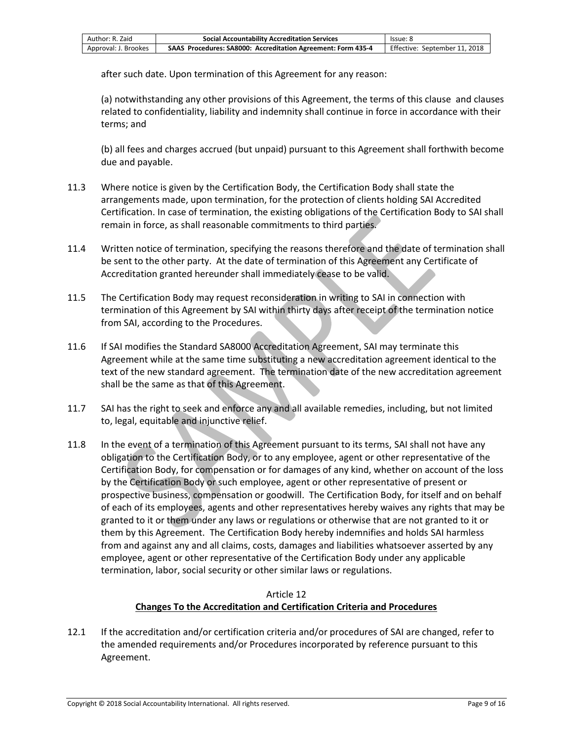| Author: R. Zaid      | <b>Social Accountability Accreditation Services</b>          | lssue: 8                      |
|----------------------|--------------------------------------------------------------|-------------------------------|
| Approval: J. Brookes | SAAS Procedures: SA8000: Accreditation Agreement: Form 435-4 | Effective: September 11, 2018 |

after such date. Upon termination of this Agreement for any reason:

(a) notwithstanding any other provisions of this Agreement, the terms of this clause and clauses related to confidentiality, liability and indemnity shall continue in force in accordance with their terms; and

(b) all fees and charges accrued (but unpaid) pursuant to this Agreement shall forthwith become due and payable.

- 11.3 Where notice is given by the Certification Body, the Certification Body shall state the arrangements made, upon termination, for the protection of clients holding SAI Accredited Certification. In case of termination, the existing obligations of the Certification Body to SAI shall remain in force, as shall reasonable commitments to third parties.
- 11.4 Written notice of termination, specifying the reasons therefore and the date of termination shall be sent to the other party. At the date of termination of this Agreement any Certificate of Accreditation granted hereunder shall immediately cease to be valid.
- 11.5 The Certification Body may request reconsideration in writing to SAI in connection with termination of this Agreement by SAI within thirty days after receipt of the termination notice from SAI, according to the Procedures.
- 11.6 If SAI modifies the Standard SA8000 Accreditation Agreement, SAI may terminate this Agreement while at the same time substituting a new accreditation agreement identical to the text of the new standard agreement. The termination date of the new accreditation agreement shall be the same as that of this Agreement.
- 11.7 SAI has the right to seek and enforce any and all available remedies, including, but not limited to, legal, equitable and injunctive relief.
- 11.8 In the event of a termination of this Agreement pursuant to its terms, SAI shall not have any obligation to the Certification Body, or to any employee, agent or other representative of the Certification Body, for compensation or for damages of any kind, whether on account of the loss by the Certification Body or such employee, agent or other representative of present or prospective business, compensation or goodwill. The Certification Body, for itself and on behalf of each of its employees, agents and other representatives hereby waives any rights that may be granted to it or them under any laws or regulations or otherwise that are not granted to it or them by this Agreement. The Certification Body hereby indemnifies and holds SAI harmless from and against any and all claims, costs, damages and liabilities whatsoever asserted by any employee, agent or other representative of the Certification Body under any applicable termination, labor, social security or other similar laws or regulations.

#### Article 12 **Changes To the Accreditation and Certification Criteria and Procedures**

12.1 If the accreditation and/or certification criteria and/or procedures of SAI are changed, refer to the amended requirements and/or Procedures incorporated by reference pursuant to this Agreement.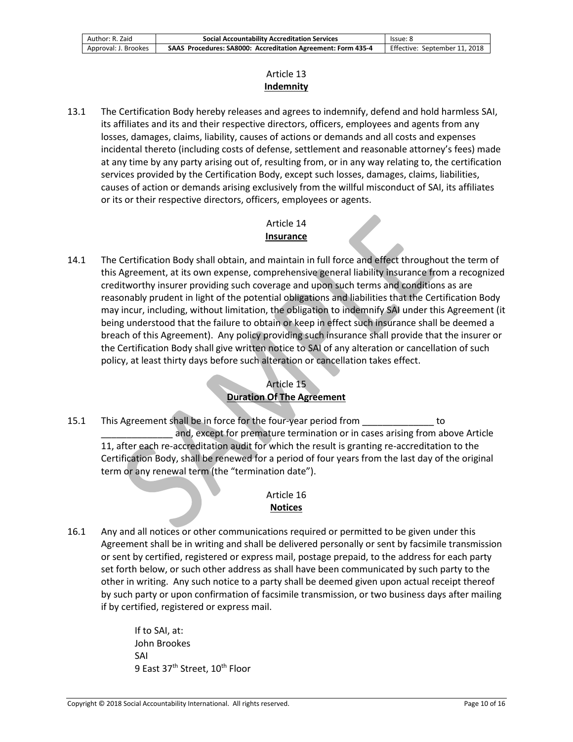| Author: R. Zaid      | <b>Social Accountability Accreditation Services</b>          | lssue: 8                      |
|----------------------|--------------------------------------------------------------|-------------------------------|
| Approval: J. Brookes | SAAS Procedures: SA8000: Accreditation Agreement: Form 435-4 | Effective: September 11, 2018 |

### Article 13 **Indemnity**

13.1 The Certification Body hereby releases and agrees to indemnify, defend and hold harmless SAI, its affiliates and its and their respective directors, officers, employees and agents from any losses, damages, claims, liability, causes of actions or demands and all costs and expenses incidental thereto (including costs of defense, settlement and reasonable attorney's fees) made at any time by any party arising out of, resulting from, or in any way relating to, the certification services provided by the Certification Body, except such losses, damages, claims, liabilities, causes of action or demands arising exclusively from the willful misconduct of SAI, its affiliates or its or their respective directors, officers, employees or agents.

### Article 14 **Insurance**

14.1 The Certification Body shall obtain, and maintain in full force and effect throughout the term of this Agreement, at its own expense, comprehensive general liability insurance from a recognized creditworthy insurer providing such coverage and upon such terms and conditions as are reasonably prudent in light of the potential obligations and liabilities that the Certification Body may incur, including, without limitation, the obligation to indemnify SAI under this Agreement (it being understood that the failure to obtain or keep in effect such insurance shall be deemed a breach of this Agreement). Any policy providing such insurance shall provide that the insurer or the Certification Body shall give written notice to SAI of any alteration or cancellation of such policy, at least thirty days before such alteration or cancellation takes effect.

## Article 15 **Duration Of The Agreement**

15.1 This Agreement shall be in force for the four-year period from \_\_\_\_\_\_\_\_\_\_\_\_\_\_ to and, except for premature termination or in cases arising from above Article 11, after each re-accreditation audit for which the result is granting re-accreditation to the Certification Body, shall be renewed for a period of four years from the last day of the original term or any renewal term (the "termination date").

## Article 16 **Notices**

16.1 Any and all notices or other communications required or permitted to be given under this Agreement shall be in writing and shall be delivered personally or sent by facsimile transmission or sent by certified, registered or express mail, postage prepaid, to the address for each party set forth below, or such other address as shall have been communicated by such party to the other in writing. Any such notice to a party shall be deemed given upon actual receipt thereof by such party or upon confirmation of facsimile transmission, or two business days after mailing if by certified, registered or express mail.

> If to SAI, at: John Brookes SAI 9 East 37<sup>th</sup> Street, 10<sup>th</sup> Floor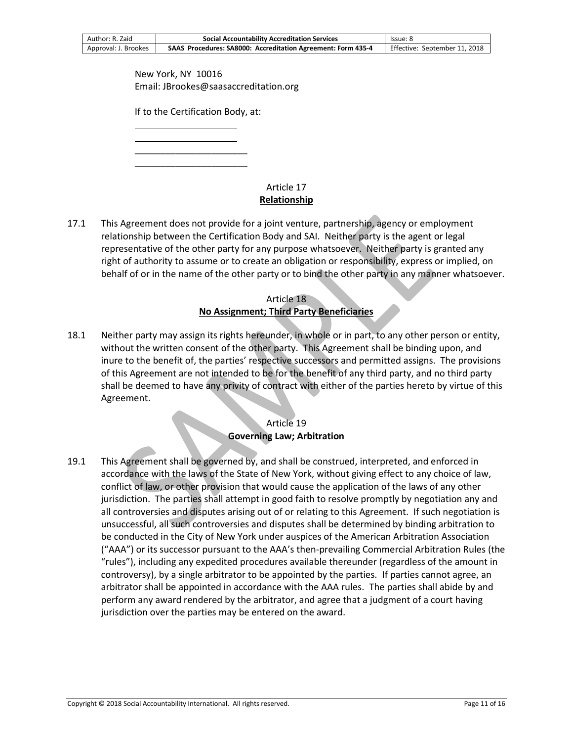| Author: R. Zaid      | <b>Social Accountability Accreditation Services</b>          | lssue: 8                      |
|----------------------|--------------------------------------------------------------|-------------------------------|
| Approval: J. Brookes | SAAS Procedures: SA8000: Accreditation Agreement: Form 435-4 | Effective: September 11, 2018 |

New York, NY 10016 Email: JBrookes@saasaccreditation.org

If to the Certification Body, at:

 $\overline{\phantom{0}}$ \_\_\_\_\_\_\_\_\_\_\_\_\_\_\_\_\_\_\_\_\_\_

\_\_\_\_\_\_\_\_\_\_\_\_\_\_\_\_\_\_\_\_\_\_

 $\overline{\phantom{0}}$ 

### Article 17 **Relationship**

17.1 This Agreement does not provide for a joint venture, partnership, agency or employment relationship between the Certification Body and SAI. Neither party is the agent or legal representative of the other party for any purpose whatsoever. Neither party is granted any right of authority to assume or to create an obligation or responsibility, express or implied, on behalf of or in the name of the other party or to bind the other party in any manner whatsoever.

## Article 18 **No Assignment; Third Party Beneficiaries**

18.1 Neither party may assign its rights hereunder, in whole or in part, to any other person or entity, without the written consent of the other party. This Agreement shall be binding upon, and inure to the benefit of, the parties' respective successors and permitted assigns. The provisions of this Agreement are not intended to be for the benefit of any third party, and no third party shall be deemed to have any privity of contract with either of the parties hereto by virtue of this Agreement.

### Article 19 **Governing Law; Arbitration**

19.1 This Agreement shall be governed by, and shall be construed, interpreted, and enforced in accordance with the laws of the State of New York, without giving effect to any choice of law, conflict of law, or other provision that would cause the application of the laws of any other jurisdiction. The parties shall attempt in good faith to resolve promptly by negotiation any and all controversies and disputes arising out of or relating to this Agreement. If such negotiation is unsuccessful, all such controversies and disputes shall be determined by binding arbitration to be conducted in the City of New York under auspices of the American Arbitration Association ("AAA") or its successor pursuant to the AAA's then-prevailing Commercial Arbitration Rules (the "rules"), including any expedited procedures available thereunder (regardless of the amount in controversy), by a single arbitrator to be appointed by the parties. If parties cannot agree, an arbitrator shall be appointed in accordance with the AAA rules. The parties shall abide by and perform any award rendered by the arbitrator, and agree that a judgment of a court having jurisdiction over the parties may be entered on the award.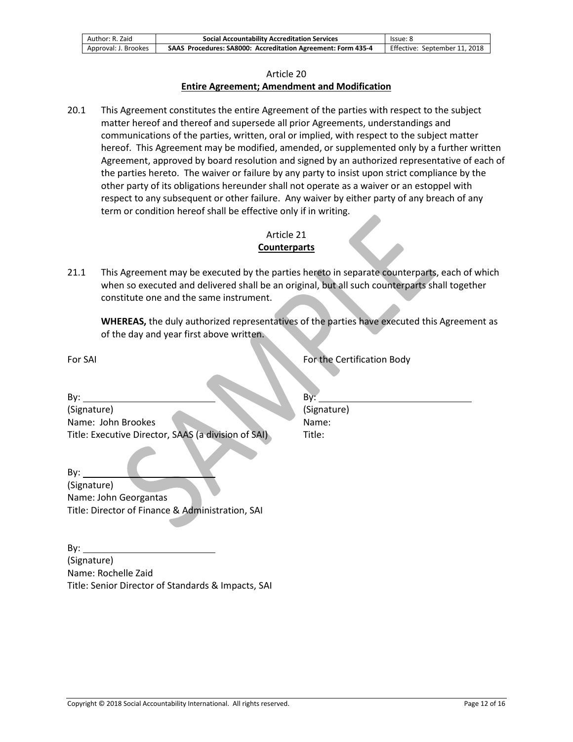| Author: R. Zaid      | <b>Social Accountability Accreditation Services</b>          | lssue: 8                      |
|----------------------|--------------------------------------------------------------|-------------------------------|
| Approval: J. Brookes | SAAS Procedures: SA8000: Accreditation Agreement: Form 435-4 | Effective: September 11, 2018 |

#### Article 20

#### **Entire Agreement; Amendment and Modification**

20.1 This Agreement constitutes the entire Agreement of the parties with respect to the subject matter hereof and thereof and supersede all prior Agreements, understandings and communications of the parties, written, oral or implied, with respect to the subject matter hereof. This Agreement may be modified, amended, or supplemented only by a further written Agreement, approved by board resolution and signed by an authorized representative of each of the parties hereto. The waiver or failure by any party to insist upon strict compliance by the other party of its obligations hereunder shall not operate as a waiver or an estoppel with respect to any subsequent or other failure. Any waiver by either party of any breach of any term or condition hereof shall be effective only if in writing.

#### Article 21 **Counterparts**

21.1 This Agreement may be executed by the parties hereto in separate counterparts, each of which when so executed and delivered shall be an original, but all such counterparts shall together constitute one and the same instrument.

**WHEREAS,** the duly authorized representatives of the parties have executed this Agreement as of the day and year first above written.

For SAI For SAI For SAI For the Certification Body

By: By: (Signature) (Signature) Name: John Brookes Name: Title: Executive Director, SAAS (a division of SAI) Title:

By: (Signature) Name: John Georgantas Title: Director of Finance & Administration, SAI

By: (Signature) Name: Rochelle Zaid Title: Senior Director of Standards & Impacts, SAI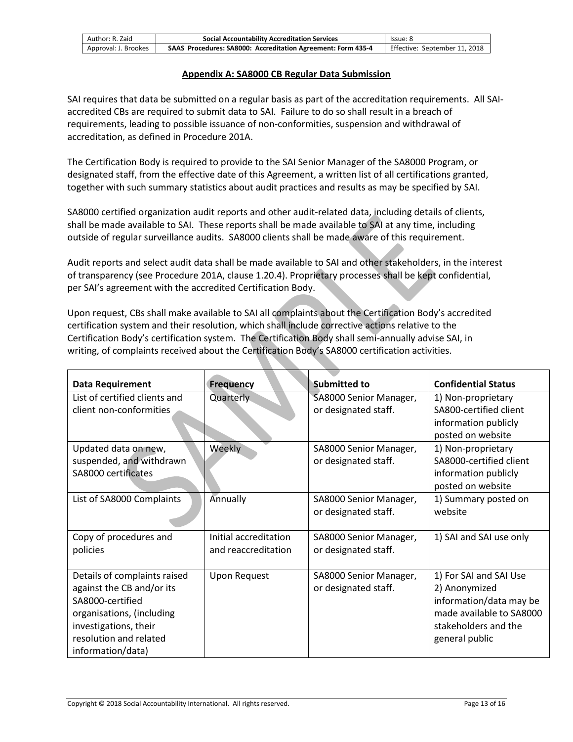| Author: R. Zaid      | <b>Social Accountability Accreditation Services</b>          | lssue: 8                      |
|----------------------|--------------------------------------------------------------|-------------------------------|
| Approval: J. Brookes | SAAS Procedures: SA8000: Accreditation Agreement: Form 435-4 | Effective: September 11, 2018 |

#### **Appendix A: SA8000 CB Regular Data Submission**

SAI requires that data be submitted on a regular basis as part of the accreditation requirements. All SAIaccredited CBs are required to submit data to SAI. Failure to do so shall result in a breach of requirements, leading to possible issuance of non-conformities, suspension and withdrawal of accreditation, as defined in Procedure 201A.

The Certification Body is required to provide to the SAI Senior Manager of the SA8000 Program, or designated staff, from the effective date of this Agreement, a written list of all certifications granted, together with such summary statistics about audit practices and results as may be specified by SAI.

SA8000 certified organization audit reports and other audit-related data, including details of clients, shall be made available to SAI. These reports shall be made available to SAI at any time, including outside of regular surveillance audits. SA8000 clients shall be made aware of this requirement.

Audit reports and select audit data shall be made available to SAI and other stakeholders, in the interest of transparency (see Procedure 201A, clause 1.20.4). Proprietary processes shall be kept confidential, per SAI's agreement with the accredited Certification Body.

Upon request, CBs shall make available to SAI all complaints about the Certification Body's accredited certification system and their resolution, which shall include corrective actions relative to the Certification Body's certification system. The Certification Body shall semi-annually advise SAI, in writing, of complaints received about the Certification Body's SA8000 certification activities.

| <b>Data Requirement</b>       | <b>Frequency</b>      | <b>Submitted to</b>    | <b>Confidential Status</b> |
|-------------------------------|-----------------------|------------------------|----------------------------|
| List of certified clients and | Quarterly             | SA8000 Senior Manager, | 1) Non-proprietary         |
| client non-conformities       |                       | or designated staff.   | SA800-certified client     |
|                               |                       |                        | information publicly       |
|                               |                       |                        | posted on website          |
| Updated data on new,          | Weekly                | SA8000 Senior Manager, | 1) Non-proprietary         |
| suspended, and withdrawn      |                       | or designated staff.   | SA8000-certified client    |
| SA8000 certificates           |                       |                        | information publicly       |
|                               |                       |                        | posted on website          |
| List of SA8000 Complaints     | Annually              | SA8000 Senior Manager, | 1) Summary posted on       |
|                               |                       | or designated staff.   | website                    |
| Copy of procedures and        | Initial accreditation | SA8000 Senior Manager, | 1) SAI and SAI use only    |
| policies                      | and reaccreditation   | or designated staff.   |                            |
|                               |                       |                        |                            |
| Details of complaints raised  | <b>Upon Request</b>   | SA8000 Senior Manager, | 1) For SAI and SAI Use     |
| against the CB and/or its     |                       | or designated staff.   | 2) Anonymized              |
| SA8000-certified              |                       |                        | information/data may be    |
| organisations, (including     |                       |                        | made available to SA8000   |
| investigations, their         |                       |                        | stakeholders and the       |
| resolution and related        |                       |                        | general public             |
| information/data)             |                       |                        |                            |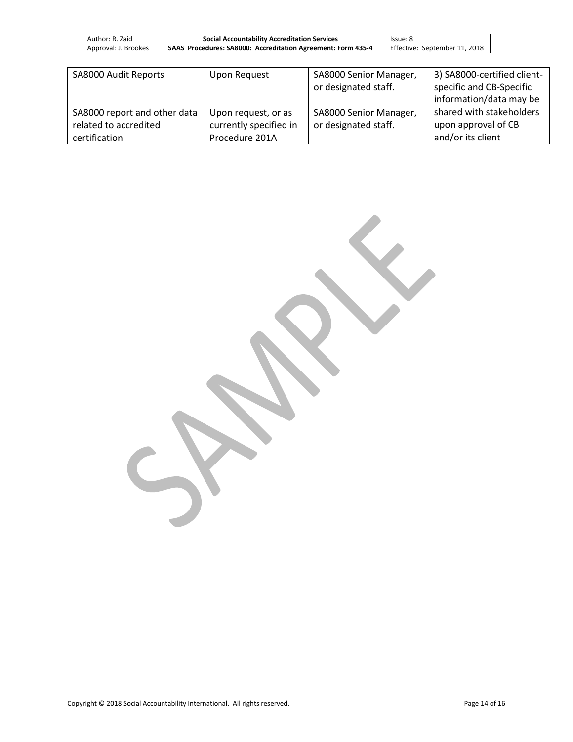| Author: R. Zaid      | <b>Social Accountability Accreditation Services</b>          | lssue: 8                      |
|----------------------|--------------------------------------------------------------|-------------------------------|
| Approval: J. Brookes | SAAS Procedures: SA8000: Accreditation Agreement: Form 435-4 | Effective: September 11, 2018 |

| SA8000 Audit Reports         | Upon Request           | SA8000 Senior Manager,<br>or designated staff. | 3) SA8000-certified client-<br>specific and CB-Specific<br>information/data may be |
|------------------------------|------------------------|------------------------------------------------|------------------------------------------------------------------------------------|
| SA8000 report and other data | Upon request, or as    | SA8000 Senior Manager,                         | shared with stakeholders                                                           |
| related to accredited        | currently specified in | or designated staff.                           | upon approval of CB                                                                |
| certification                | Procedure 201A         |                                                | and/or its client                                                                  |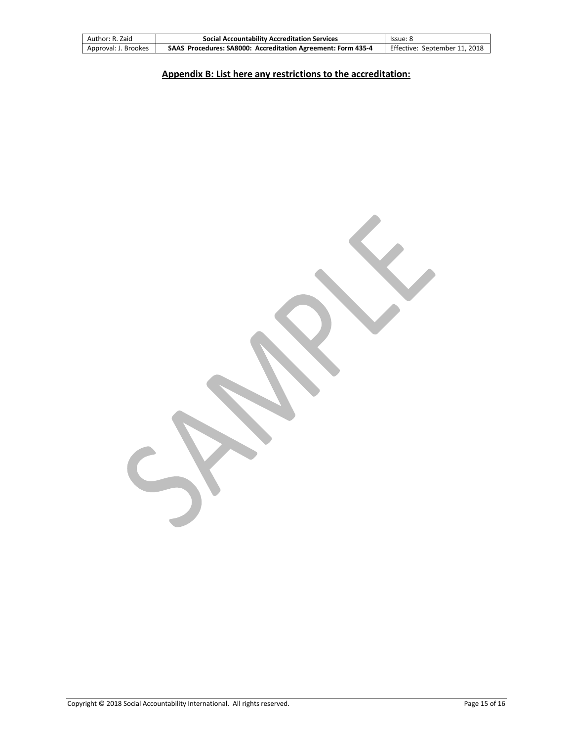| Author: R. Zaid      | <b>Social Accountability Accreditation Services</b>          | lssue: 8                      |
|----------------------|--------------------------------------------------------------|-------------------------------|
| Approval: J. Brookes | SAAS Procedures: SA8000: Accreditation Agreement: Form 435-4 | Effective: September 11, 2018 |

# **Appendix B: List here any restrictions to the accreditation:**

 $\sum$